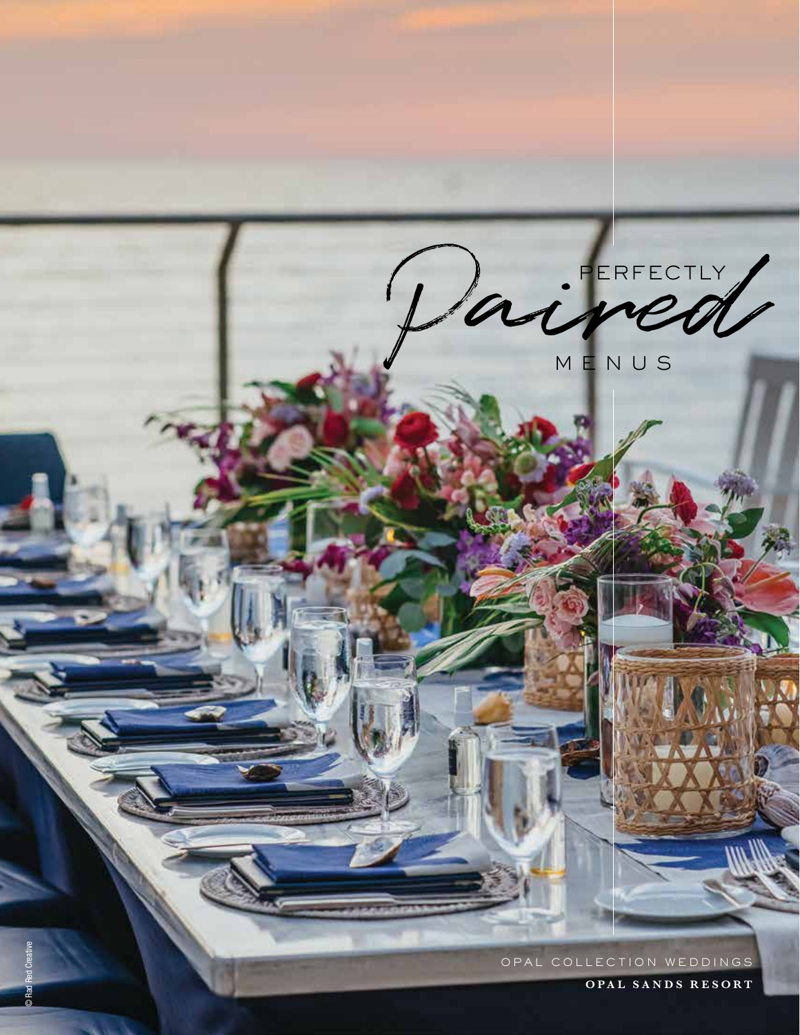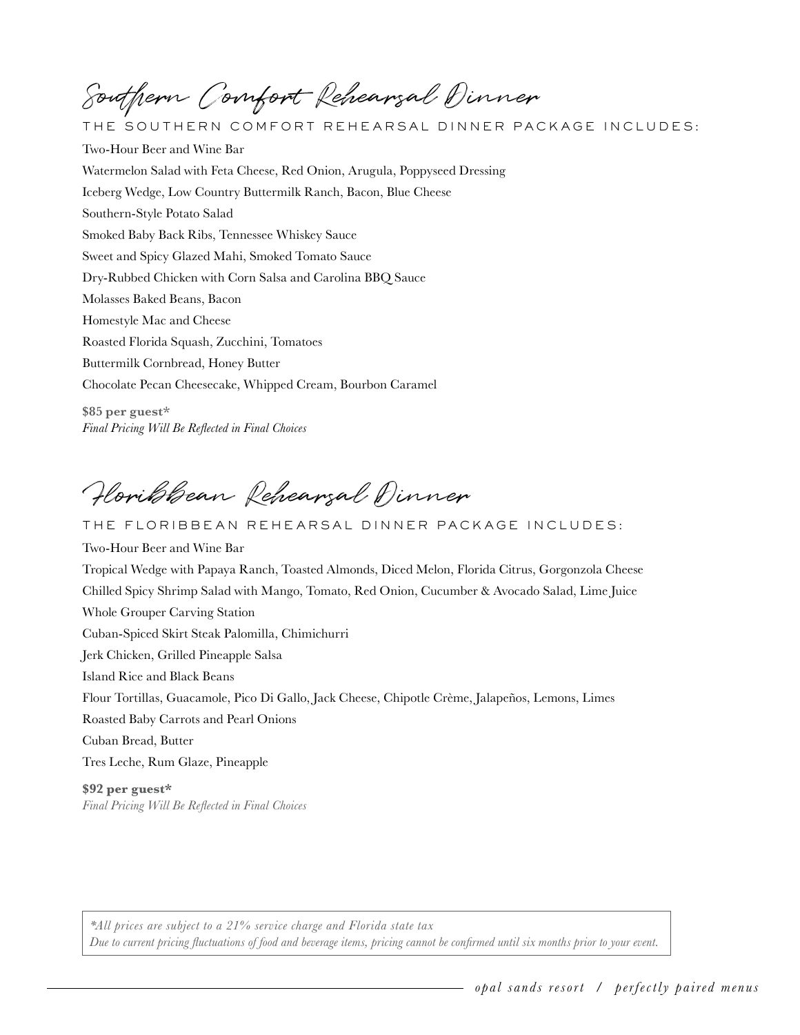Southern Comfort Rehearsal Dinner

THE SOUTHERN COMFORT REHEARSAL DINNER PACKAGE INCLUDES: Two-Hour Beer and Wine Bar Watermelon Salad with Feta Cheese, Red Onion, Arugula, Poppyseed Dressing Iceberg Wedge, Low Country Buttermilk Ranch, Bacon, Blue Cheese Southern-Style Potato Salad Smoked Baby Back Ribs, Tennessee Whiskey Sauce Sweet and Spicy Glazed Mahi, Smoked Tomato Sauce Dry-Rubbed Chicken with Corn Salsa and Carolina BBQ Sauce Molasses Baked Beans, Bacon Homestyle Mac and Cheese Roasted Florida Squash, Zucchini, Tomatoes Buttermilk Cornbread, Honey Butter Chocolate Pecan Cheesecake, Whipped Cream, Bourbon Caramel **\$85 per guest\*** 

Floribbean Rehearsal Dinner

**Whole Grouper Carving Station** THE FLORIBBEAN REHEARSAL DINNER PACKAGE INCLUDES: Two-Hour Beer and Wine Bar Tropical Wedge with Papaya Ranch, Toasted Almonds, Diced Melon, Florida Citrus, Gorgonzola Cheese Chilled Spicy Shrimp Salad with Mango, Tomato, Red Onion, Cucumber & Avocado Salad, Lime Juice Guban-Spiced Skirt Steak Palomilla, Chimichurri Jerk Chicken, Grilled Pineapple Salsa Island Rice and Black Beans Flour Tortillas, Guacamole, Pico Di Gallo, Jack Cheese, Chipotle Crème, Jalapeños, Lemons, Limes Roasted Baby Carrots and Pearl Onions Cuban Bread, Butter Tres Leche, Rum Glaze, Pineapple

**\$92 per guest\***  *Final Pricing Will Be Reflected in Final Choices*

*Final Pricing Will Be Reflected in Final Choices*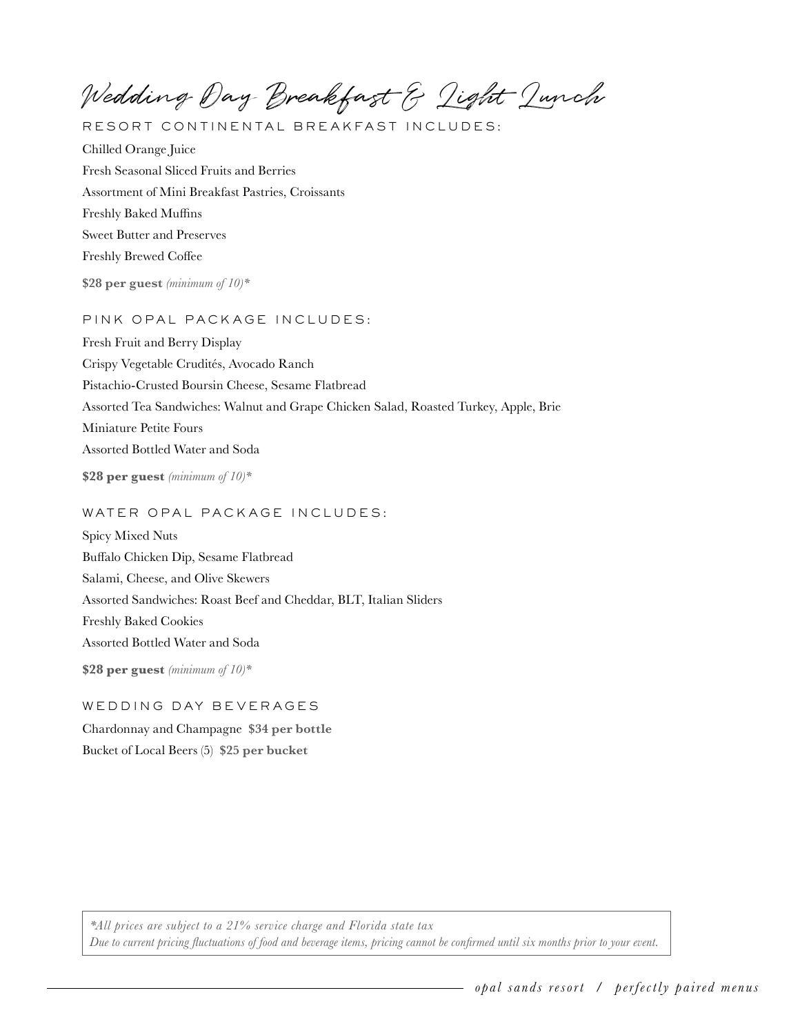Wedding Day Breakfast & Light Lunch

RESORT CONTINENTAL BREAKFAST INCLUDES:

Chilled Orange Juice Fresh Seasonal Sliced Fruits and Berries Assortment of Mini Breakfast Pastries, Croissants Freshly Baked Muffins Sweet Butter and Preserves Freshly Brewed Coffee

**\$28 per guest** *(minimum of 10)\**

# PINK OPAL PACKAGE INCLUDES:

Fresh Fruit and Berry Display Crispy Vegetable Crudités, Avocado Ranch Pistachio-Crusted Boursin Cheese, Sesame Flatbread Assorted Tea Sandwiches: Walnut and Grape Chicken Salad, Roasted Turkey, Apple, Brie Miniature Petite Fours Assorted Bottled Water and Soda

**\$28 per guest** *(minimum of 10)\**

# WATER OPAL PACKAGE INCLUDES:

Spicy Mixed Nuts Buffalo Chicken Dip, Sesame Flatbread Salami, Cheese, and Olive Skewers Assorted Sandwiches: Roast Beef and Cheddar, BLT, Italian Sliders Freshly Baked Cookies Assorted Bottled Water and Soda

**\$28 per guest** *(minimum of 10)\**

# WEDDING DAY BEVERAGES

Chardonnay and Champagne **\$34 per bottle**  Bucket of Local Beers (5) **\$25 per bucket**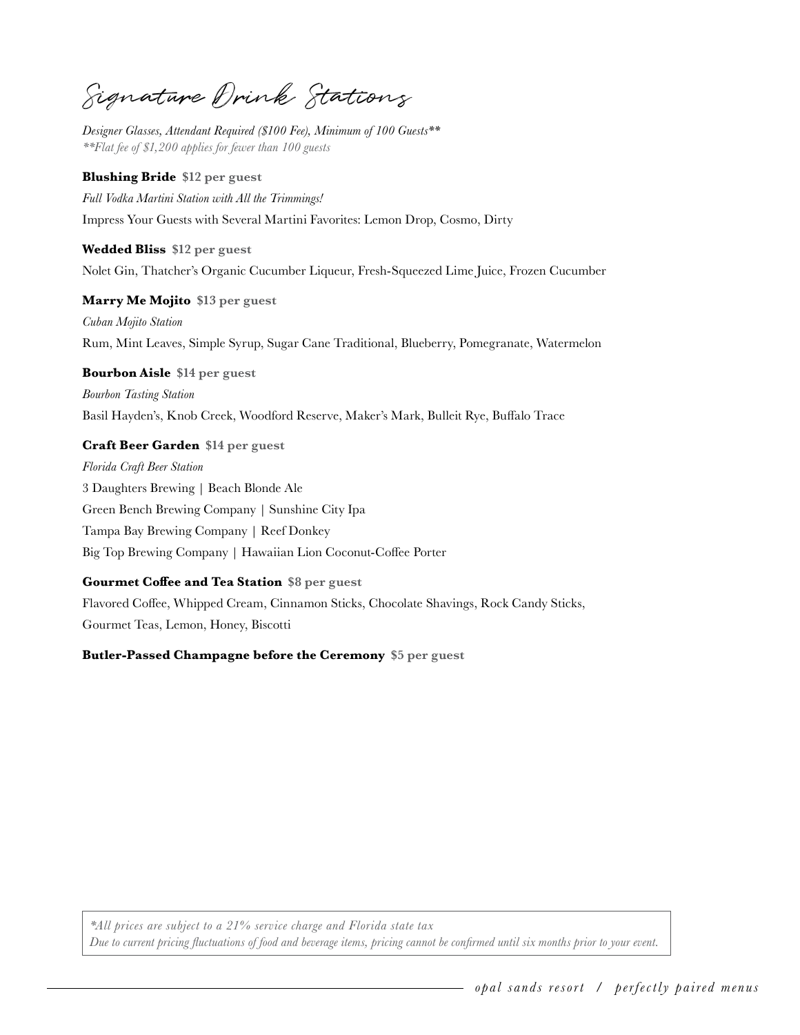Signature Drink Stations

*Designer Glasses, Attendant Required (\$100 Fee), Minimum of 100 Guests\*\* \*\*Flat fee of \$1,200 applies for fewer than 100 guests*

# **Blushing Bride \$12 per guest**

*Full Vodka Martini Station with All the Trimmings!* Impress Your Guests with Several Martini Favorites: Lemon Drop, Cosmo, Dirty

 **Wedded Bliss \$12 per guest**  Nolet Gin, Thatcher's Organic Cucumber Liqueur, Fresh-Squeezed Lime Juice, Frozen Cucumber

 **Marry Me Mojito \$13 per guest**  *Cuban Mojito Station* Rum, Mint Leaves, Simple Syrup, Sugar Cane Traditional, Blueberry, Pomegranate, Watermelon

 **Bourbon Aisle \$14 per guest** 

*Bourbon Tasting Station* Basil Hayden's, Knob Creek, Woodford Reserve, Maker's Mark, Bulleit Rye, Buffalo Trace

# **Craft Beer Garden \$14 per guest**

*Florida Craft Beer Station* 3 Daughters Brewing | Beach Blonde Ale Green Bench Brewing Company | Sunshine City Ipa Tampa Bay Brewing Company | Reef Donkey Big Top Brewing Company | Hawaiian Lion Coconut-Coffee Porter

# **Gourmet Coffee and Tea Station \$8 per guest**

Flavored Coffee, Whipped Cream, Cinnamon Sticks, Chocolate Shavings, Rock Candy Sticks, Gourmet Teas, Lemon, Honey, Biscotti

 **Butler-Passed Champagne before the Ceremony \$5 per guest**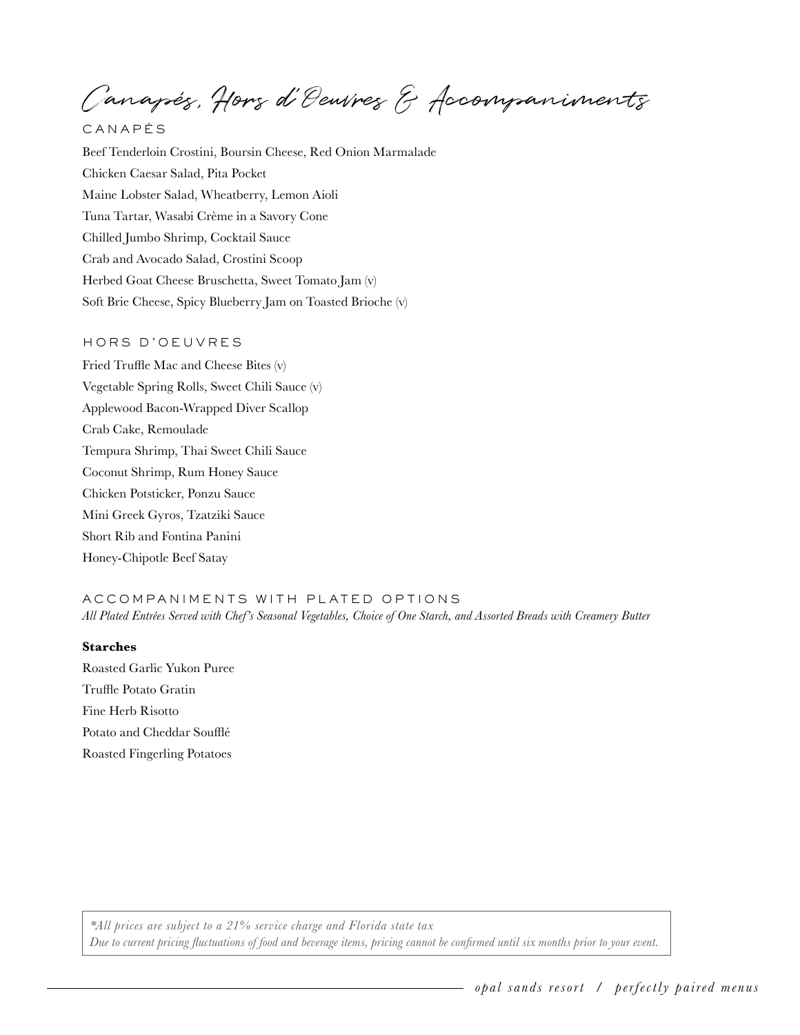Canapés, Hors d'Oeuvres & Accompaniments

CANAP É S

Beef Tenderloin Crostini, Boursin Cheese, Red Onion Marmalade Chicken Caesar Salad, Pita Pocket Maine Lobster Salad, Wheatberry, Lemon Aioli Tuna Tartar, Wasabi Crème in a Savory Cone Chilled Jumbo Shrimp, Cocktail Sauce Crab and Avocado Salad, Crostini Scoop Herbed Goat Cheese Bruschetta, Sweet Tomato Jam (v) Soft Brie Cheese, Spicy Blueberry Jam on Toasted Brioche (v)

# HORS D'OEUVRES

Fried Truffle Mac and Cheese Bites (v) Vegetable Spring Rolls, Sweet Chili Sauce (v) Applewood Bacon-Wrapped Diver Scallop Crab Cake, Remoulade Tempura Shrimp, Thai Sweet Chili Sauce Coconut Shrimp, Rum Honey Sauce Chicken Potsticker, Ponzu Sauce Mini Greek Gyros, Tzatziki Sauce Short Rib and Fontina Panini Honey-Chipotle Beef Satay

ACCOMPANIMENTS WITH PLATED OPTIONS *All Plated Entrées Served with Chef's Seasonal Vegetables, Choice of One Starch, and Assorted Breads with Creamery Butter*

# **Starches**

Roasted Garlic Yukon Puree Truffle Potato Gratin Fine Herb Risotto Potato and Cheddar Soufflé Roasted Fingerling Potatoes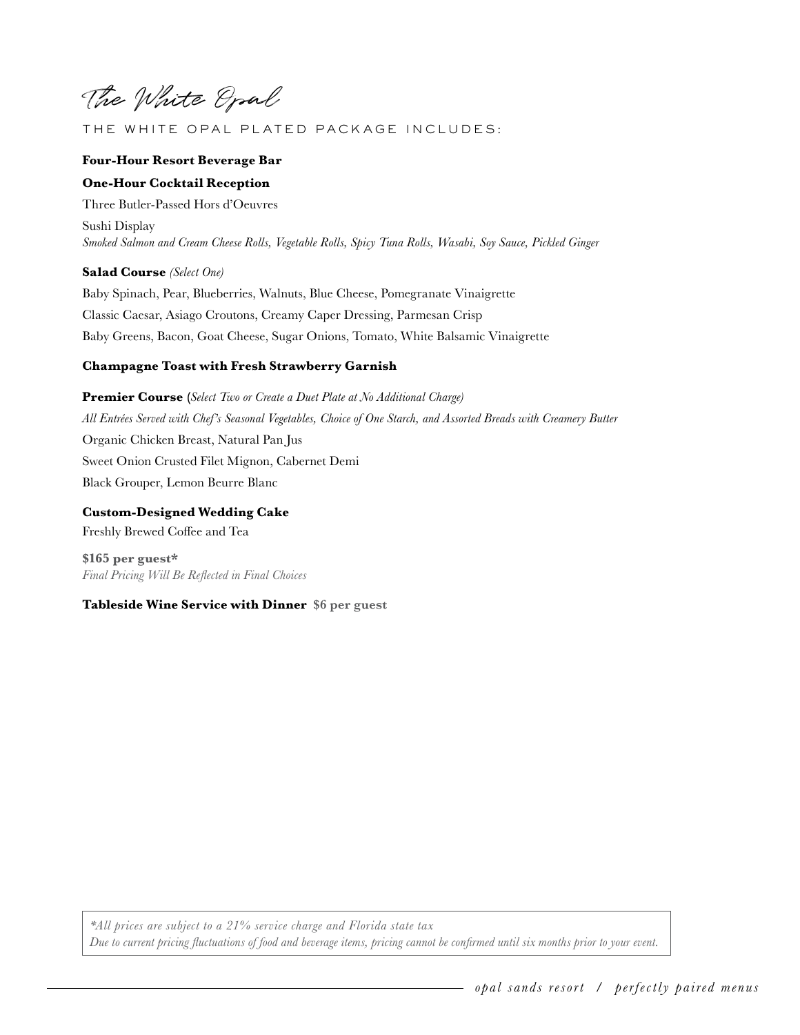The White Opal

# THE WHITE OPAL PLATED PACK AGE INCLUDES:

# **Four-Hour Resort Beverage Bar**

# **One-Hour Cocktail Reception**

Three Butler-Passed Hors d'Oeuvres Sushi Display *Smoked Salmon and Cream Cheese Rolls, Vegetable Rolls, Spicy Tuna Rolls, Wasabi, Soy Sauce, Pickled Ginger*

#### **Salad Course** *(Select One)*

Baby Spinach, Pear, Blueberries, Walnuts, Blue Cheese, Pomegranate Vinaigrette Classic Caesar, Asiago Croutons, Creamy Caper Dressing, Parmesan Crisp Baby Greens, Bacon, Goat Cheese, Sugar Onions, Tomato, White Balsamic Vinaigrette

# **Champagne Toast with Fresh Strawberry Garnish**

**Premier Course (***Select Two or Create a Duet Plate at No Additional Charge) All Entrées Served with Chef's Seasonal Vegetables, Choice of One Starch, and Assorted Breads with Creamery Butter* Organic Chicken Breast, Natural Pan Jus Sweet Onion Crusted Filet Mignon, Cabernet Demi Black Grouper, Lemon Beurre Blanc

**Custom-Designed Wedding Cake** Freshly Brewed Coffee and Tea

**\$165 per guest\***  *Final Pricing Will Be Reflected in Final Choices*

#### **Tableside Wine Service with Dinner \$6 per guest**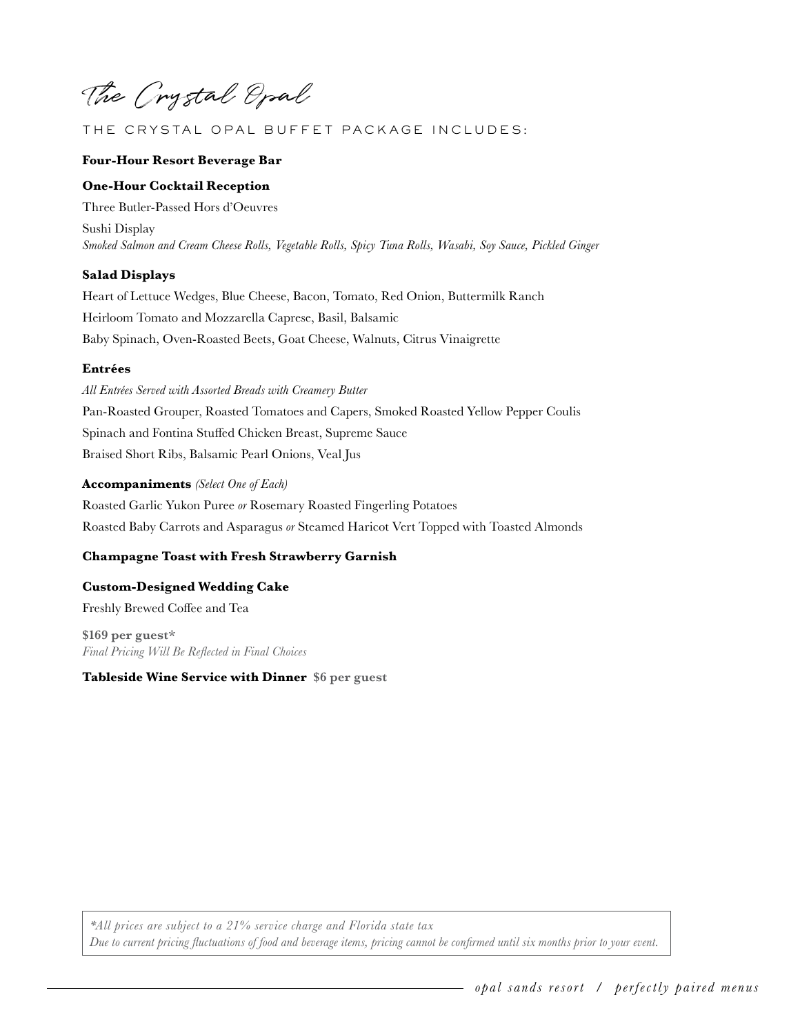The Crystal Opal

# THE CRYSTAL OPAL BUFFET PACK AGE INCLUDES:

#### **Four-Hour Resort Beverage Bar**

#### **One-Hour Cocktail Reception**

Three Butler-Passed Hors d'Oeuvres Sushi Display *Smoked Salmon and Cream Cheese Rolls, Vegetable Rolls, Spicy Tuna Rolls, Wasabi, Soy Sauce, Pickled Ginger*

#### **Salad Displays**

Heart of Lettuce Wedges, Blue Cheese, Bacon, Tomato, Red Onion, Buttermilk Ranch Heirloom Tomato and Mozzarella Caprese, Basil, Balsamic Baby Spinach, Oven-Roasted Beets, Goat Cheese, Walnuts, Citrus Vinaigrette

#### **Entrées**

*All Entrées Served with Assorted Breads with Creamery Butter* Pan-Roasted Grouper, Roasted Tomatoes and Capers, Smoked Roasted Yellow Pepper Coulis Spinach and Fontina Stuffed Chicken Breast, Supreme Sauce Braised Short Ribs, Balsamic Pearl Onions, Veal Jus

#### **Accompaniments** *(Select One of Each)*

Roasted Garlic Yukon Puree *or* Rosemary Roasted Fingerling Potatoes Roasted Baby Carrots and Asparagus *or* Steamed Haricot Vert Topped with Toasted Almonds

#### **Champagne Toast with Fresh Strawberry Garnish**

**Custom-Designed Wedding Cake** Freshly Brewed Coffee and Tea

**\$169 per guest\***  *Final Pricing Will Be Reflected in Final Choices*

**Tableside Wine Service with Dinner \$6 per guest**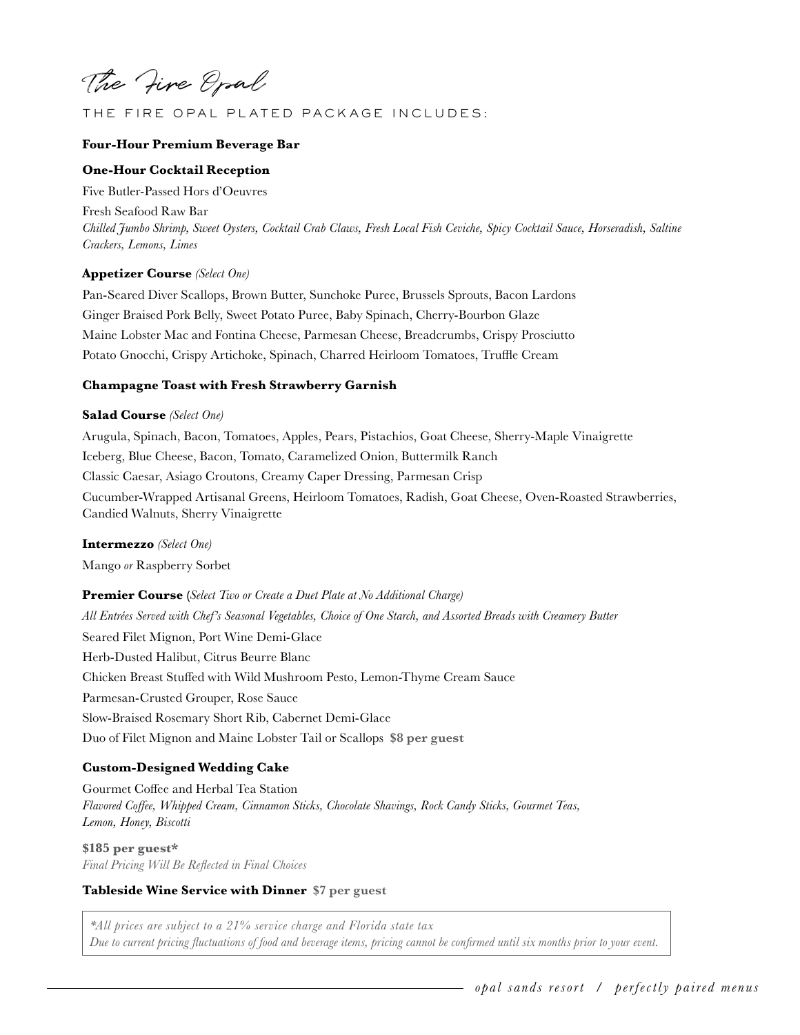The Fire Opal

# THE FIRE OPAL PLATED PACK AGE INCLUDES:

#### **Four-Hour Premium Beverage Bar**

# **One-Hour Cocktail Reception**

Five Butler-Passed Hors d'Oeuvres

 *Crackers, Lemons, Limes* Fresh Seafood Raw Bar *Chilled Jumbo Shrimp, Sweet Oysters, Cocktail Crab Claws, Fresh Local Fish Ceviche, Spicy Cocktail Sauce, Horseradish, Saltine* 

#### **Appetizer Course** *(Select One)*

Pan-Seared Diver Scallops, Brown Butter, Sunchoke Puree, Brussels Sprouts, Bacon Lardons Ginger Braised Pork Belly, Sweet Potato Puree, Baby Spinach, Cherry-Bourbon Glaze Maine Lobster Mac and Fontina Cheese, Parmesan Cheese, Breadcrumbs, Crispy Prosciutto Potato Gnocchi, Crispy Artichoke, Spinach, Charred Heirloom Tomatoes, Truffle Cream

#### **Champagne Toast with Fresh Strawberry Garnish**

#### **Salad Course** *(Select One)*

Arugula, Spinach, Bacon, Tomatoes, Apples, Pears, Pistachios, Goat Cheese, Sherry-Maple Vinaigrette Iceberg, Blue Cheese, Bacon, Tomato, Caramelized Onion, Buttermilk Ranch Classic Caesar, Asiago Croutons, Creamy Caper Dressing, Parmesan Crisp Cucumber-Wrapped Artisanal Greens, Heirloom Tomatoes, Radish, Goat Cheese, Oven-Roasted Strawberries, Candied Walnuts, Sherry Vinaigrette

#### **Intermezzo** *(Select One)*

Mango *or* Raspberry Sorbet

**Premier Course (***Select Two or Create a Duet Plate at No Additional Charge) All Entrées Served with Chef's Seasonal Vegetables, Choice of One Starch, and Assorted Breads with Creamery Butter* Seared Filet Mignon, Port Wine Demi-Glace Herb-Dusted Halibut, Citrus Beurre Blanc Chicken Breast Stuffed with Wild Mushroom Pesto, Lemon-Thyme Cream Sauce Parmesan-Crusted Grouper, Rose Sauce Slow-Braised Rosemary Short Rib, Cabernet Demi-Glace Duo of Filet Mignon and Maine Lobster Tail or Scallops **\$8 per guest** 

#### **Custom-Designed Wedding Cake**

Gourmet Coffee and Herbal Tea Station *Flavored Coffee, Whipped Cream, Cinnamon Sticks, Chocolate Shavings, Rock Candy Sticks, Gourmet Teas, Lemon, Honey, Biscotti*

**\$185 per guest\***  *Final Pricing Will Be Reflected in Final Choices*

## **Tableside Wine Service with Dinner \$7 per guest**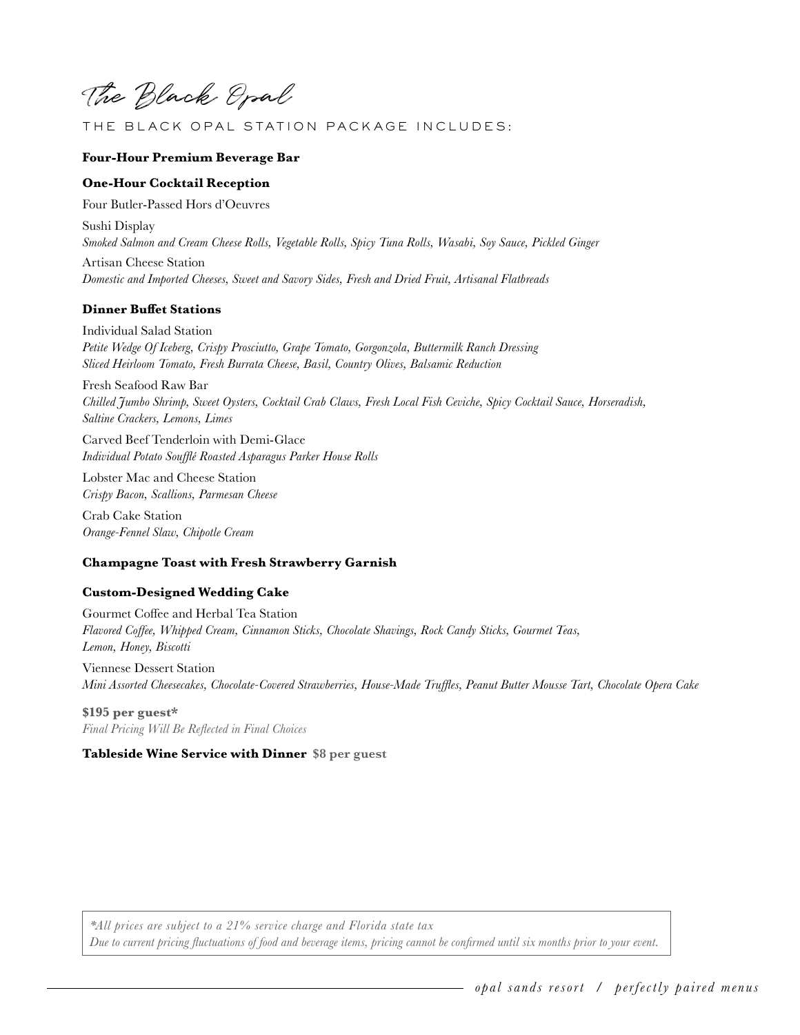The Black Opal

# THE BLACK OPAL STATION PACKAGE INCLUDES:

#### **Four-Hour Premium Beverage Bar**

#### **One-Hour Cocktail Reception**

Four Butler-Passed Hors d'Oeuvres

Sushi Display *Smoked Salmon and Cream Cheese Rolls, Vegetable Rolls, Spicy Tuna Rolls, Wasabi, Soy Sauce, Pickled Ginger*

Artisan Cheese Station *Domestic and Imported Cheeses, Sweet and Savory Sides, Fresh and Dried Fruit, Artisanal Flatbreads*

# **Dinner Buffet Stations**

Individual Salad Station *Petite Wedge Of Iceberg, Crispy Prosciutto, Grape Tomato, Gorgonzola, Buttermilk Ranch Dressing Sliced Heirloom Tomato, Fresh Burrata Cheese, Basil, Country Olives, Balsamic Reduction*

Fresh Seafood Raw Bar *Chilled Jumbo Shrimp, Sweet Oysters, Cocktail Crab Claws, Fresh Local Fish Ceviche, Spicy Cocktail Sauce, Horseradish, Saltine Crackers, Lemons, Limes*

Carved Beef Tenderloin with Demi-Glace *Individual Potato Soufflé Roasted Asparagus Parker House Rolls*

Lobster Mac and Cheese Station *Crispy Bacon, Scallions, Parmesan Cheese*

Crab Cake Station *Orange-Fennel Slaw, Chipotle Cream*

#### **Champagne Toast with Fresh Strawberry Garnish**

# **Custom-Designed Wedding Cake**

Gourmet Coffee and Herbal Tea Station *Flavored Coffee, Whipped Cream, Cinnamon Sticks, Chocolate Shavings, Rock Candy Sticks, Gourmet Teas, Lemon, Honey, Biscotti*

Viennese Dessert Station *Mini Assorted Cheesecakes, Chocolate-Covered Strawberries, House-Made Truffles, Peanut Butter Mousse Tart, Chocolate Opera Cake*

**\$195 per guest\***  *Final Pricing Will Be Reflected in Final Choices*

#### **Tableside Wine Service with Dinner \$8 per guest**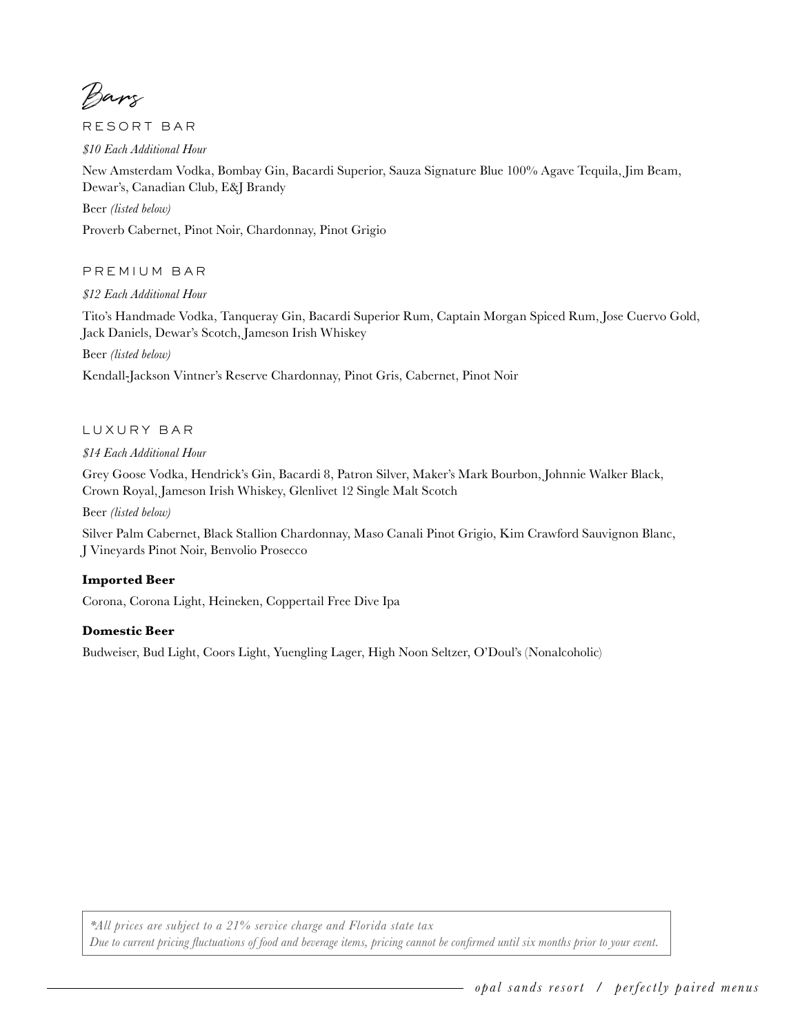Bars

RESORT BAR

*\$10 Each Additional Hour*

New Amsterdam Vodka, Bombay Gin, Bacardi Superior, Sauza Signature Blue 100% Agave Tequila, Jim Beam, Dewar's, Canadian Club, E&J Brandy

Beer *(listed below)*

Proverb Cabernet, Pinot Noir, Chardonnay, Pinot Grigio

PREMIUM BAR

*\$12 Each Additional Hour*

Tito's Handmade Vodka, Tanqueray Gin, Bacardi Superior Rum, Captain Morgan Spiced Rum, Jose Cuervo Gold, Jack Daniels, Dewar's Scotch, Jameson Irish Whiskey

Beer *(listed below)*

Kendall-Jackson Vintner's Reserve Chardonnay, Pinot Gris, Cabernet, Pinot Noir

#### LUXURY BAR

*\$14 Each Additional Hour*

Grey Goose Vodka, Hendrick's Gin, Bacardi 8, Patron Silver, Maker's Mark Bourbon, Johnnie Walker Black, Crown Royal, Jameson Irish Whiskey, Glenlivet 12 Single Malt Scotch

Beer *(listed below)*

Silver Palm Cabernet, Black Stallion Chardonnay, Maso Canali Pinot Grigio, Kim Crawford Sauvignon Blanc, J Vineyards Pinot Noir, Benvolio Prosecco

# **Imported Beer**

Corona, Corona Light, Heineken, Coppertail Free Dive Ipa

# **Domestic Beer**

Budweiser, Bud Light, Coors Light, Yuengling Lager, High Noon Seltzer, O'Doul's (Nonalcoholic)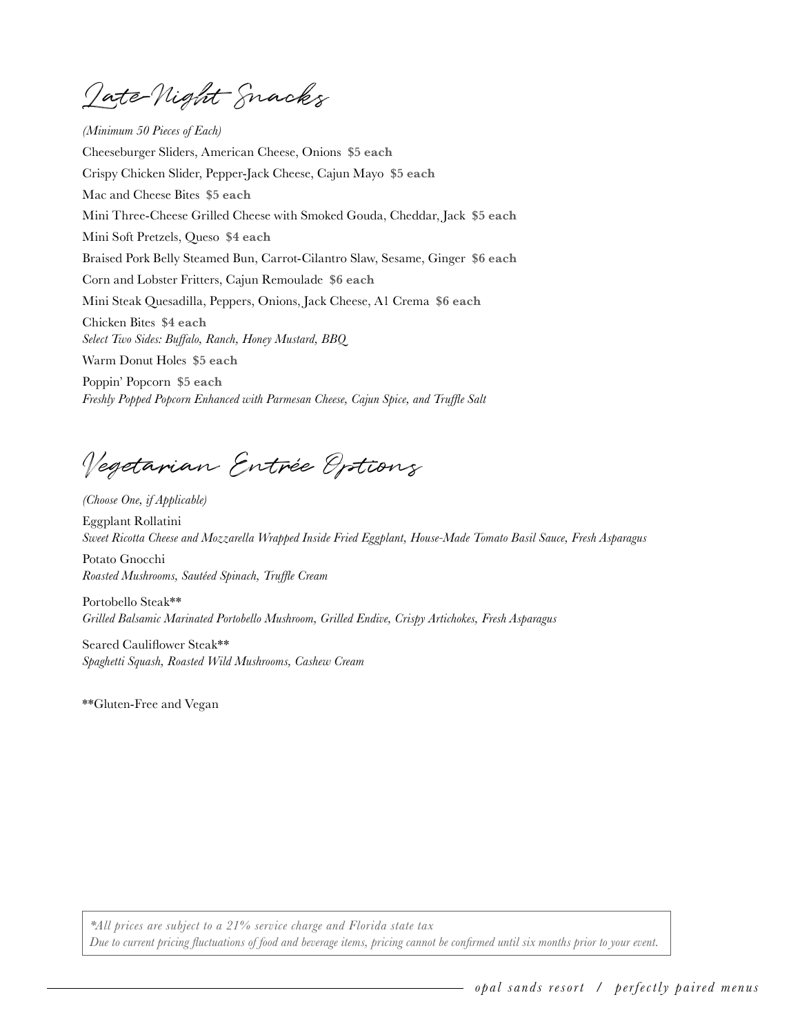Late-Night Snacks

 Poppin' Popcorn **\$5 each**  *(Minimum 50 Pieces of Each)* Cheeseburger Sliders, American Cheese, Onions **\$5 each**  Crispy Chicken Slider, Pepper-Jack Cheese, Cajun Mayo **\$5 each**  Mac and Cheese Bites **\$5 each**  Mini Three-Cheese Grilled Cheese with Smoked Gouda, Cheddar, Jack **\$5 each**  Mini Soft Pretzels, Queso **\$4 each**  Braised Pork Belly Steamed Bun, Carrot-Cilantro Slaw, Sesame, Ginger **\$6 each**  Corn and Lobster Fritters, Cajun Remoulade **\$6 each**  Mini Steak Quesadilla, Peppers, Onions, Jack Cheese, A1 Crema **\$6 each**  Chicken Bites **\$4 each**  *Select Two Sides: Buffalo, Ranch, Honey Mustard, BBQ* Warm Donut Holes **\$5 each** 

*Freshly Popped Popcorn Enhanced with Parmesan Cheese, Cajun Spice, and Truffle Salt*

Vegetarian Entrée Options

*(Choose One, if Applicable)* Eggplant Rollatini *Sweet Ricotta Cheese and Mozzarella Wrapped Inside Fried Eggplant, House-Made Tomato Basil Sauce, Fresh Asparagus*

Potato Gnocchi *Roasted Mushrooms, Sautéed Spinach, Truffle Cream* 

Portobello Steak\*\* *Grilled Balsamic Marinated Portobello Mushroom, Grilled Endive, Crispy Artichokes, Fresh Asparagus*

Seared Cauliflower Steak\*\* *Spaghetti Squash, Roasted Wild Mushrooms, Cashew Cream*

\*\*Gluten-Free and Vegan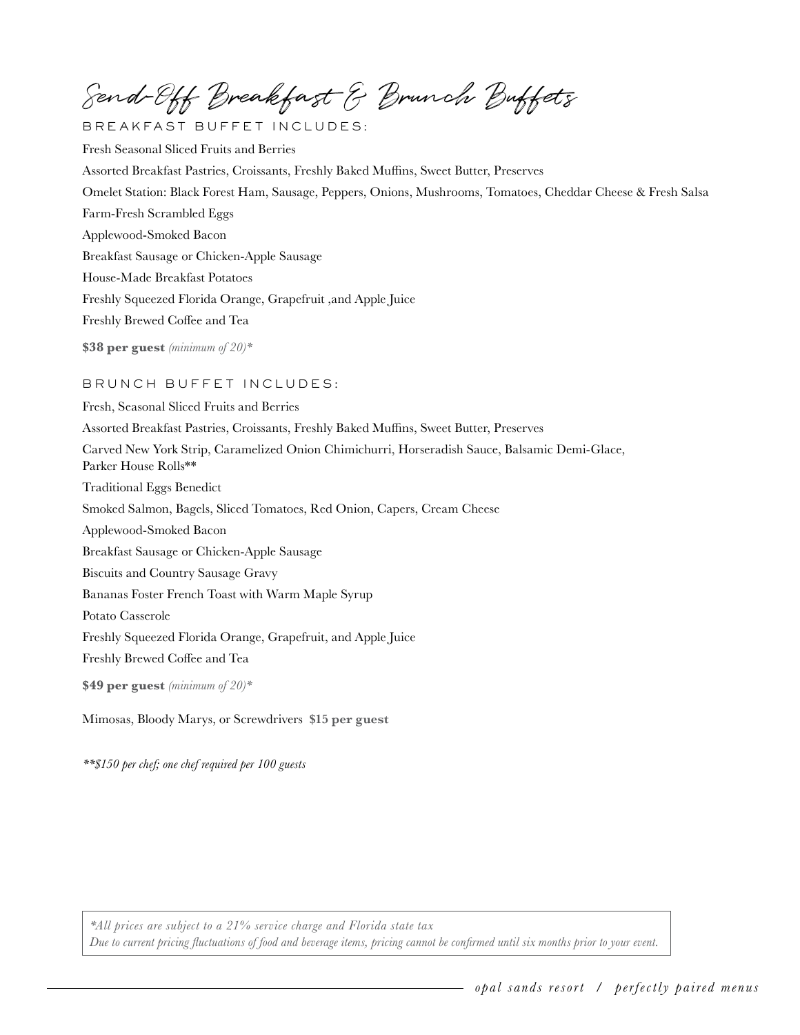Send-Off Breakfast & Brunch Buffets

BREAKFAST BUFFET INCLUDES: Fresh Seasonal Sliced Fruits and Berries Assorted Breakfast Pastries, Croissants, Freshly Baked Muffins, Sweet Butter, Preserves Omelet Station: Black Forest Ham, Sausage, Peppers, Onions, Mushrooms, Tomatoes, Cheddar Cheese & Fresh Salsa Farm-Fresh Scrambled Eggs Applewood-Smoked Bacon Breakfast Sausage or Chicken-Apple Sausage House-Made Breakfast Potatoes Freshly Squeezed Florida Orange, Grapefruit ,and Apple Juice Freshly Brewed Coffee and Tea **\$38 per guest** *(minimum of 20)\**

# BRUNCH BUFFET INCLUDES:

Fresh, Seasonal Sliced Fruits and Berries Assorted Breakfast Pastries, Croissants, Freshly Baked Muffins, Sweet Butter, Preserves Carved New York Strip, Caramelized Onion Chimichurri, Horseradish Sauce, Balsamic Demi-Glace, Parker House Rolls\*\* Traditional Eggs Benedict Smoked Salmon, Bagels, Sliced Tomatoes, Red Onion, Capers, Cream Cheese Applewood-Smoked Bacon Breakfast Sausage or Chicken-Apple Sausage Biscuits and Country Sausage Gravy Bananas Foster French Toast with Warm Maple Syrup Potato Casserole Freshly Squeezed Florida Orange, Grapefruit, and Apple Juice Freshly Brewed Coffee and Tea **\$49 per guest** *(minimum of 20)\**

Mimosas, Bloody Marys, or Screwdrivers **\$15 per guest** 

*\*\*\$150 per chef; one chef required per 100 guests*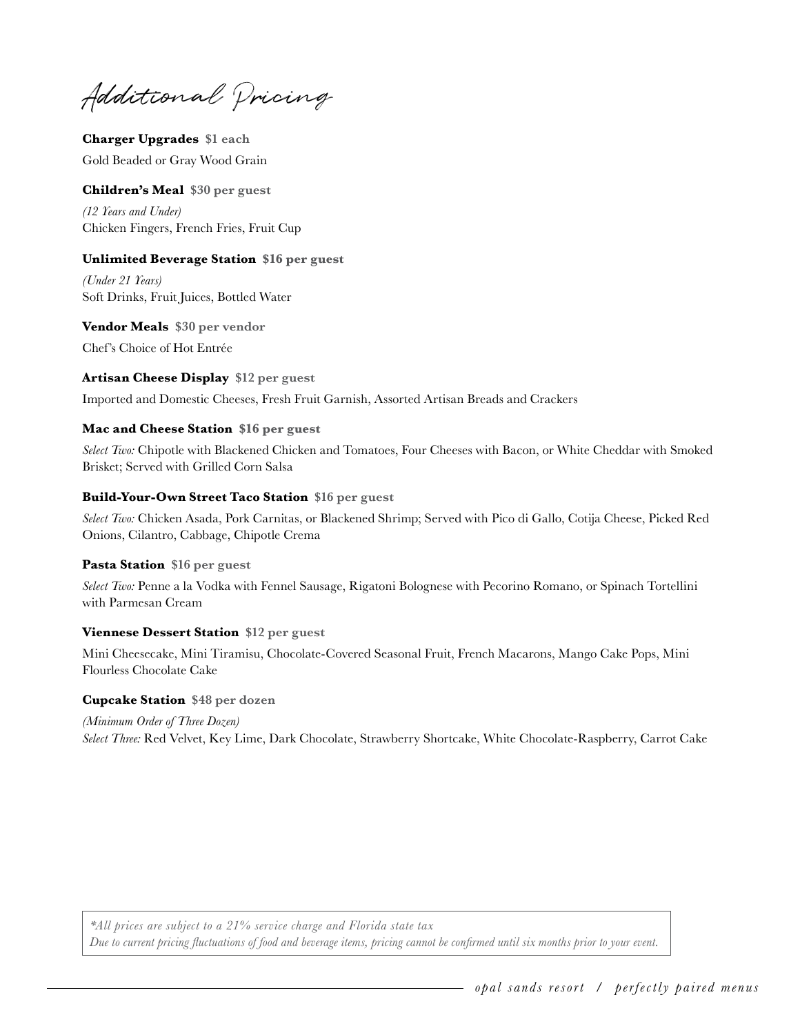Additional Pricing

**Charger Upgrades \$1 each**  Gold Beaded or Gray Wood Grain

# **Children's Meal \$30 per guest**

*(12 Years and Under)* Chicken Fingers, French Fries, Fruit Cup

# **Unlimited Beverage Station \$16 per guest**

*(Under 21 Years)*  Soft Drinks, Fruit Juices, Bottled Water

**Vendor Meals \$30 per vendor**  Chef's Choice of Hot Entrée

#### **Artisan Cheese Display \$12 per guest**

Imported and Domestic Cheeses, Fresh Fruit Garnish, Assorted Artisan Breads and Crackers

#### **Mac and Cheese Station \$16 per guest**

*Select Two:* Chipotle with Blackened Chicken and Tomatoes, Four Cheeses with Bacon, or White Cheddar with Smoked Brisket; Served with Grilled Corn Salsa

#### **Build-Your-Own Street Taco Station \$16 per guest**

*Select Two:* Chicken Asada, Pork Carnitas, or Blackened Shrimp; Served with Pico di Gallo, Cotija Cheese, Picked Red Onions, Cilantro, Cabbage, Chipotle Crema

# **Pasta Station \$16 per guest**

*Select Two:* Penne a la Vodka with Fennel Sausage, Rigatoni Bolognese with Pecorino Romano, or Spinach Tortellini with Parmesan Cream

# **Viennese Dessert Station \$12 per guest**

Mini Cheesecake, Mini Tiramisu, Chocolate-Covered Seasonal Fruit, French Macarons, Mango Cake Pops, Mini Flourless Chocolate Cake

#### **Cupcake Station \$48 per dozen**

*(Minimum Order of Three Dozen) Select Three:* Red Velvet, Key Lime, Dark Chocolate, Strawberry Shortcake, White Chocolate-Raspberry, Carrot Cake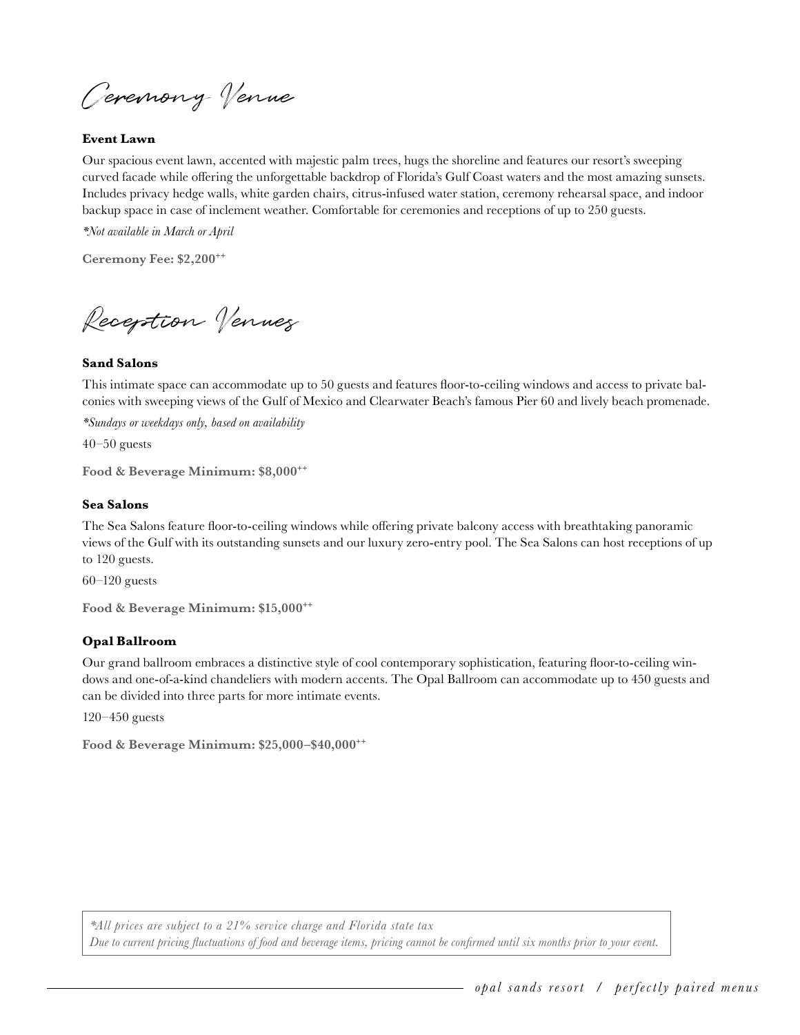Ceremony Venue

#### **Event Lawn**

Our spacious event lawn, accented with majestic palm trees, hugs the shoreline and features our resort's sweeping curved facade while offering the unforgettable backdrop of Florida's Gulf Coast waters and the most amazing sunsets. Includes privacy hedge walls, white garden chairs, citrus-infused water station, ceremony rehearsal space, and indoor backup space in case of inclement weather. Comfortable for ceremonies and receptions of up to 250 guests.

*\*Not available in March or April*

**Ceremony Fee: \$2,200++** 

Reception Venues

#### **Sand Salons**

This intimate space can accommodate up to 50 guests and features floor-to-ceiling windows and access to private balconies with sweeping views of the Gulf of Mexico and Clearwater Beach's famous Pier 60 and lively beach promenade.

*\*Sundays or weekdays only, based on availability*

 $40-50$  guests

**Food & Beverage Minimum: \$8,000++** 

# **Sea Salons**

The Sea Salons feature floor-to-ceiling windows while offering private balcony access with breathtaking panoramic views of the Gulf with its outstanding sunsets and our luxury zero-entry pool. The Sea Salons can host receptions of up to 120 guests.

60–120 guests

**Food & Beverage Minimum: \$15,000++** 

#### **Opal Ballroom**

Our grand ballroom embraces a distinctive style of cool contemporary sophistication, featuring floor-to-ceiling windows and one-of-a-kind chandeliers with modern accents. The Opal Ballroom can accommodate up to 450 guests and can be divided into three parts for more intimate events.

120–450 guests

**Food & Beverage Minimum: \$25,000–\$40,000++**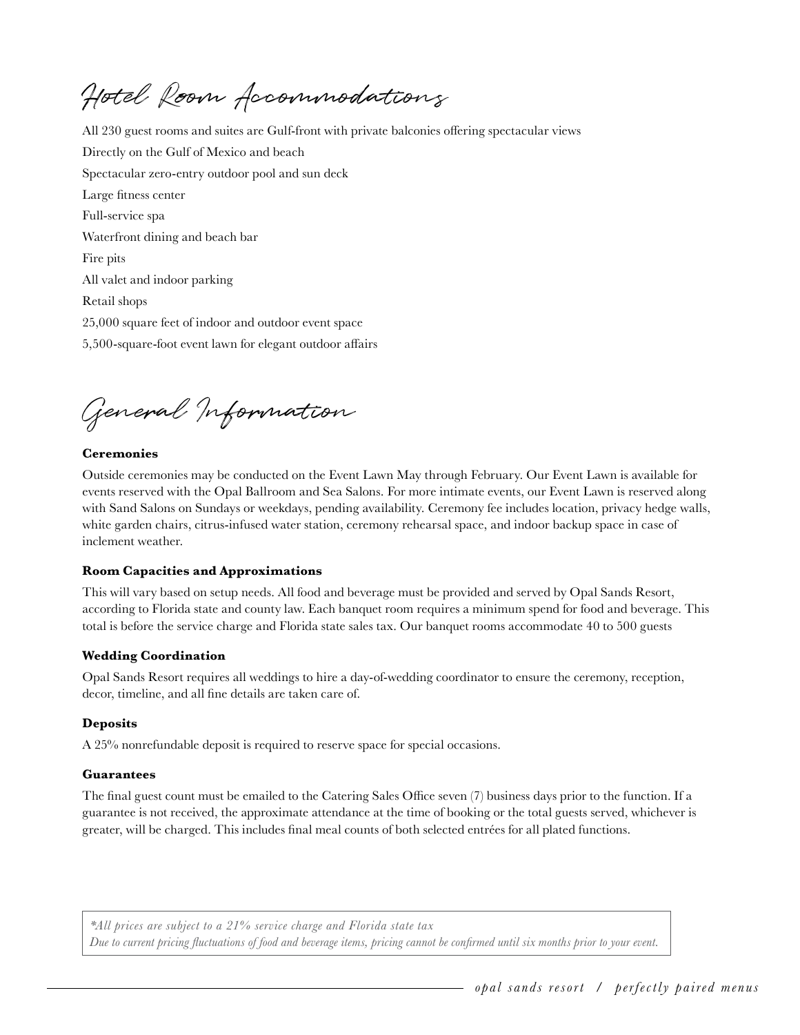Hotel Room Accommodations

All 230 guest rooms and suites are Gulf-front with private balconies offering spectacular views Directly on the Gulf of Mexico and beach Spectacular zero-entry outdoor pool and sun deck Large fitness center Full-service spa Waterfront dining and beach bar Fire pits All valet and indoor parking Retail shops 25,000 square feet of indoor and outdoor event space 5,500-square-foot event lawn for elegant outdoor affairs

General Information

# **Ceremonies**

Outside ceremonies may be conducted on the Event Lawn May through February. Our Event Lawn is available for events reserved with the Opal Ballroom and Sea Salons. For more intimate events, our Event Lawn is reserved along with Sand Salons on Sundays or weekdays, pending availability. Ceremony fee includes location, privacy hedge walls, white garden chairs, citrus-infused water station, ceremony rehearsal space, and indoor backup space in case of inclement weather.

#### **Room Capacities and Approximations**

This will vary based on setup needs. All food and beverage must be provided and served by Opal Sands Resort, according to Florida state and county law. Each banquet room requires a minimum spend for food and beverage. This total is before the service charge and Florida state sales tax. Our banquet rooms accommodate 40 to 500 guests

#### **Wedding Coordination**

Opal Sands Resort requires all weddings to hire a day-of-wedding coordinator to ensure the ceremony, reception, decor, timeline, and all fine details are taken care of.

#### **Deposits**

A 25% nonrefundable deposit is required to reserve space for special occasions.

#### **Guarantees**

The final guest count must be emailed to the Catering Sales Office seven (7) business days prior to the function. If a guarantee is not received, the approximate attendance at the time of booking or the total guests served, whichever is greater, will be charged. This includes final meal counts of both selected entrées for all plated functions.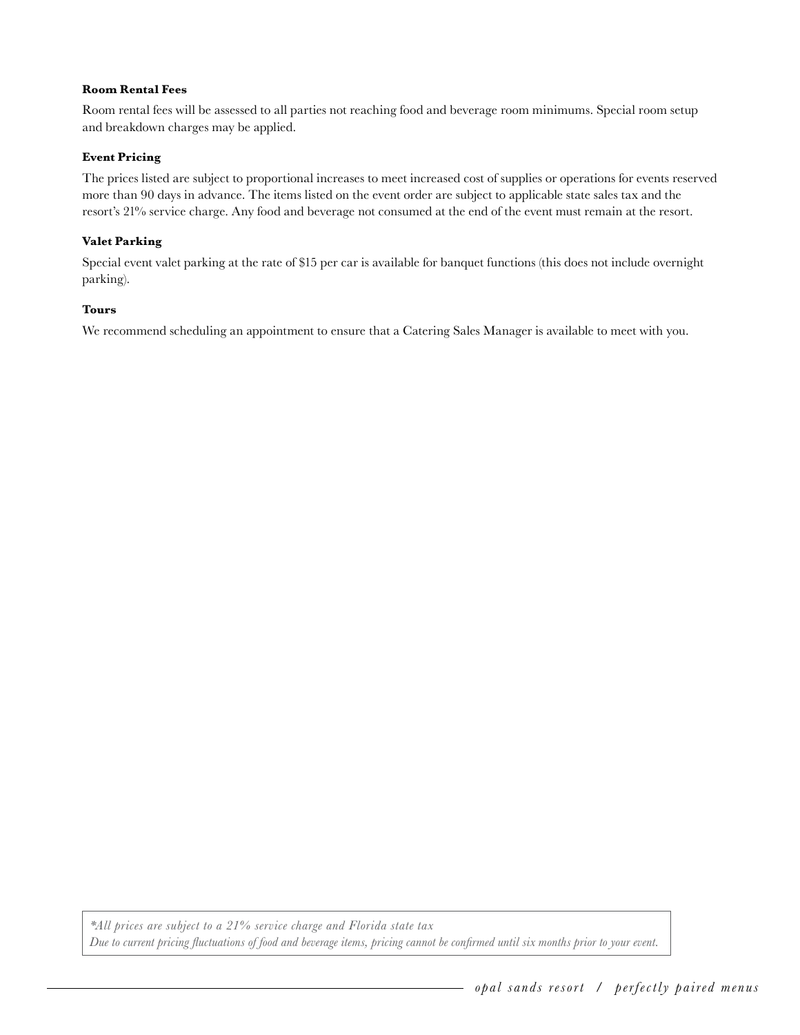#### **Room Rental Fees**

Room rental fees will be assessed to all parties not reaching food and beverage room minimums. Special room setup and breakdown charges may be applied.

#### **Event Pricing**

The prices listed are subject to proportional increases to meet increased cost of supplies or operations for events reserved more than 90 days in advance. The items listed on the event order are subject to applicable state sales tax and the resort's 21% service charge. Any food and beverage not consumed at the end of the event must remain at the resort.

#### **Valet Parking**

Special event valet parking at the rate of \$15 per car is available for banquet functions (this does not include overnight parking).

#### **Tours**

We recommend scheduling an appointment to ensure that a Catering Sales Manager is available to meet with you.